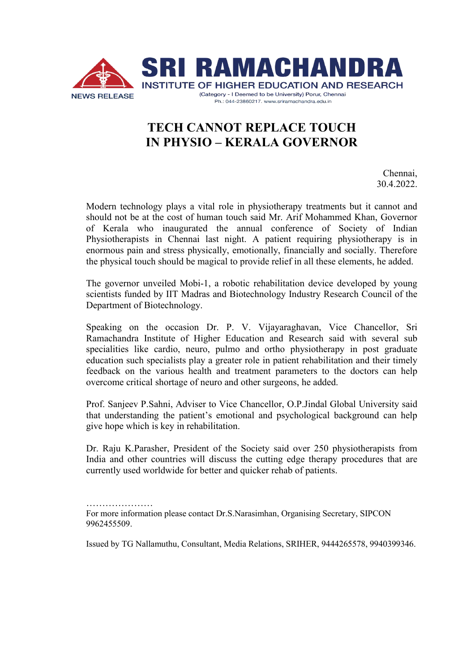

## **TECH CANNOT REPLACE TOUCH IN PHYSIO – KERALA GOVERNOR**

Chennai, 30.4.2022.

Modern technology plays a vital role in physiotherapy treatments but it cannot and should not be at the cost of human touch said Mr. Arif Mohammed Khan, Governor of Kerala who inaugurated the annual conference of Society of Indian Physiotherapists in Chennai last night. A patient requiring physiotherapy is in enormous pain and stress physically, emotionally, financially and socially. Therefore the physical touch should be magical to provide relief in all these elements, he added.

The governor unveiled Mobi-1, a robotic rehabilitation device developed by young scientists funded by IIT Madras and Biotechnology Industry Research Council of the Department of Biotechnology.

Speaking on the occasion Dr. P. V. Vijayaraghavan, Vice Chancellor, Sri Ramachandra Institute of Higher Education and Research said with several sub specialities like cardio, neuro, pulmo and ortho physiotherapy in post graduate education such specialists play a greater role in patient rehabilitation and their timely feedback on the various health and treatment parameters to the doctors can help overcome critical shortage of neuro and other surgeons, he added.

Prof. Sanjeev P.Sahni, Adviser to Vice Chancellor, O.P.Jindal Global University said that understanding the patient's emotional and psychological background can help give hope which is key in rehabilitation.

Dr. Raju K.Parasher, President of the Society said over 250 physiotherapists from India and other countries will discuss the cutting edge therapy procedures that are currently used worldwide for better and quicker rehab of patients.

………………… For more information please contact Dr.S.Narasimhan, Organising Secretary, SIPCON 9962455509.

Issued by TG Nallamuthu, Consultant, Media Relations, SRIHER, 9444265578, 9940399346.